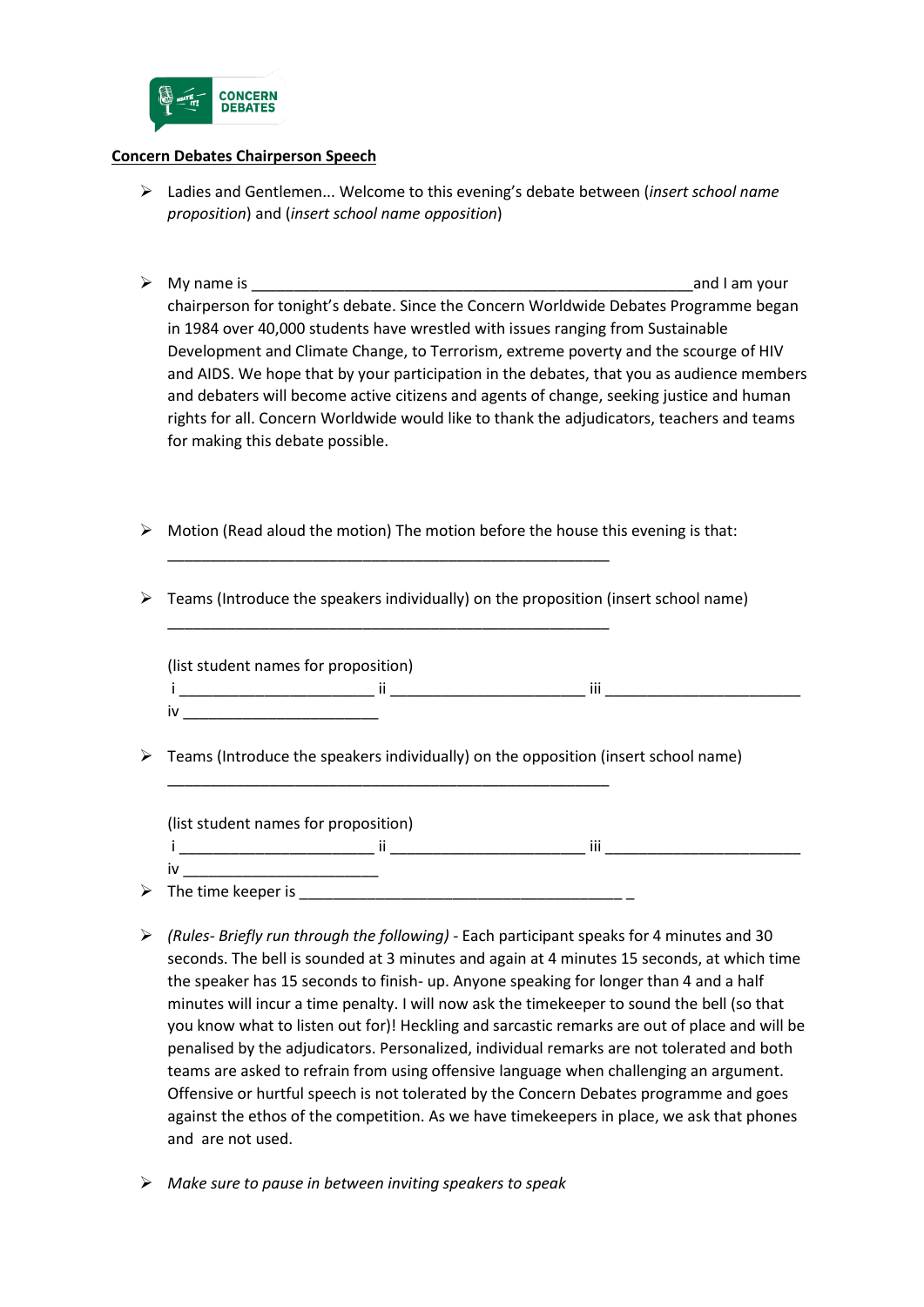

## **Concern Debates Chairperson Speech**

- Ladies and Gentlemen... Welcome to this evening's debate between (*insert school name proposition*) and (*insert school name opposition*)
- $\triangleright$  My name is  $\triangleright$  My name is chairperson for tonight's debate. Since the Concern Worldwide Debates Programme began in 1984 over 40,000 students have wrestled with issues ranging from Sustainable Development and Climate Change, to Terrorism, extreme poverty and the scourge of HIV and AIDS. We hope that by your participation in the debates, that you as audience members and debaters will become active citizens and agents of change, seeking justice and human rights for all. Concern Worldwide would like to thank the adjudicators, teachers and teams for making this debate possible.
- $\triangleright$  Motion (Read aloud the motion) The motion before the house this evening is that:

\_\_\_\_\_\_\_\_\_\_\_\_\_\_\_\_\_\_\_\_\_\_\_\_\_\_\_\_\_\_\_\_\_\_\_\_\_\_\_\_\_\_\_\_\_\_\_\_\_\_\_\_

\_\_\_\_\_\_\_\_\_\_\_\_\_\_\_\_\_\_\_\_\_\_\_\_\_\_\_\_\_\_\_\_\_\_\_\_\_\_\_\_\_\_\_\_\_\_\_\_\_\_\_\_

\_\_\_\_\_\_\_\_\_\_\_\_\_\_\_\_\_\_\_\_\_\_\_\_\_\_\_\_\_\_\_\_\_\_\_\_\_\_\_\_\_\_\_\_\_\_\_\_\_\_\_\_

 $\triangleright$  Teams (Introduce the speakers individually) on the proposition (insert school name)

| (list student names for proposition) |  |          |  |  |  |
|--------------------------------------|--|----------|--|--|--|
|                                      |  | $\cdots$ |  |  |  |
| iv                                   |  |          |  |  |  |

 $\triangleright$  Teams (Introduce the speakers individually) on the opposition (insert school name)

| (list student names for proposition) |  |       |  |  |
|--------------------------------------|--|-------|--|--|
|                                      |  | <br>ш |  |  |
| I١                                   |  |       |  |  |
| $\triangleright$ The time keeper is  |  |       |  |  |

- *(Rules- Briefly run through the following) -* Each participant speaks for 4 minutes and 30 seconds. The bell is sounded at 3 minutes and again at 4 minutes 15 seconds, at which time the speaker has 15 seconds to finish- up. Anyone speaking for longer than 4 and a half minutes will incur a time penalty. I will now ask the timekeeper to sound the bell (so that you know what to listen out for)! Heckling and sarcastic remarks are out of place and will be penalised by the adjudicators. Personalized, individual remarks are not tolerated and both teams are asked to refrain from using offensive language when challenging an argument. Offensive or hurtful speech is not tolerated by the Concern Debates programme and goes against the ethos of the competition. As we have timekeepers in place, we ask that phones and are not used.
- *Make sure to pause in between inviting speakers to speak*